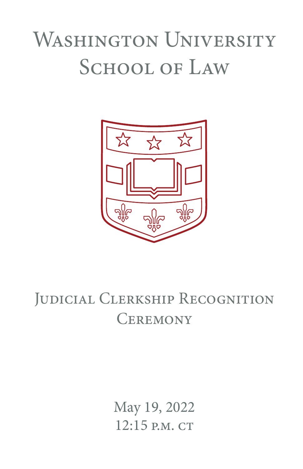# WASHINGTON UNIVERSITY SCHOOL OF LAW



## JUDICIAL CLERKSHIP RECOGNITION **CEREMONY**

May 19, 2022  $12:15$  p.m.  $CT$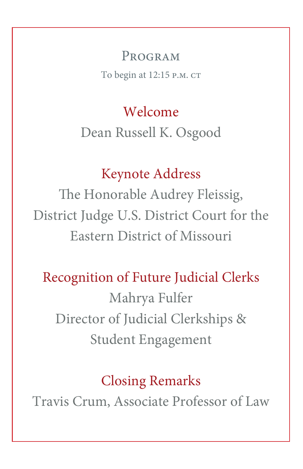#### Program

To begin at 12:15 p.m. CT

#### Welcome

Dean Russell K. Osgood

#### Keynote Address

The Honorable Audrey Fleissig, District Judge U.S. District Court for the Eastern District of Missouri

#### Recognition of Future Judicial Clerks

Mahrya Fulfer Director of Judicial Clerkships & Student Engagement

### Closing Remarks

Travis Crum, Associate Professor of Law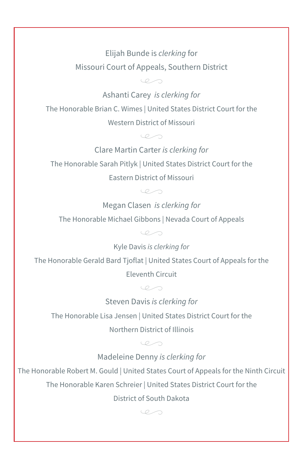Elijah Bunde is *clerking* for Missouri Court of Appeals, Southern District

 $\circ$ 

Ashanti Carey *is clerking for* The Honorable Brian C. Wimes | United States District Court for the Western District of Missouri

 $\varphi$ 

Clare Martin Carter *is clerking for* The Honorable Sarah Pitlyk | United States District Court for the Eastern District of Missouri

 $\infty$ 

Megan Clasen *is clerking for* The Honorable Michael Gibbons | Nevada Court of Appeals

> $\circ$ Kyle Davis *is clerking for*

The Honorable Gerald Bard Tjoflat | United States Court of Appeals for the Eleventh Circuit

 $\mathcal{L}$ 

Steven Davis *is clerking for* The Honorable Lisa Jensen | United States District Court for the Northern District of Illinois

 $\circ$ 

Madeleine Denny *is clerking for*

The Honorable Robert M. Gould | United States Court of Appeals for the Ninth Circuit The Honorable Karen Schreier | United States District Court for the District of South Dakota

 $\mathcal{L}$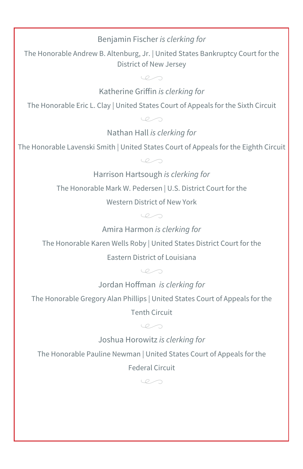#### Benjamin Fischer *is clerking for*

The Honorable Andrew B. Altenburg, Jr. | United States Bankruptcy Court for the District of New Jersey

 $\curvearrowright$ 

Katherine Griffin *is clerking for*

The Honorable Eric L. Clay | United States Court of Appeals for the Sixth Circuit

 $0$ 

Nathan Hall *is clerking for*

The Honorable Lavenski Smith | United States Court of Appeals for the Eighth Circuit

 $\mathcal{L}$ 

Harrison Hartsough *is clerking for* The Honorable Mark W. Pedersen | U.S. District Court for the Western District of New York

 $\curvearrowright$ 

Amira Harmon *is clerking for* The Honorable Karen Wells Roby | United States District Court for the

Eastern District of Louisiana

 $\circ$ 

Jordan Hoffman *is clerking for* The Honorable Gregory Alan Phillips | United States Court of Appeals for the Tenth Circuit

 $\mathcal{L}$ 

Joshua Horowitz *is clerking for*

The Honorable Pauline Newman | United States Court of Appeals for the

Federal Circuit

 $\circ$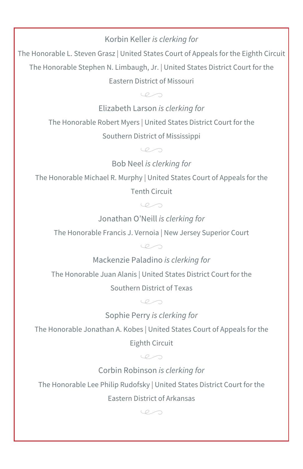Korbin Keller *is clerking for*

The Honorable L. Steven Grasz | United States Court of Appeals for the Eighth Circuit The Honorable Stephen N. Limbaugh, Jr. | United States District Court for the Eastern District of Missouri

 $0$ 

Elizabeth Larson *is clerking for* The Honorable Robert Myers | United States District Court for the Southern District of Mississippi

Bob Neel *is clerking for* The Honorable Michael R. Murphy | United States Court of Appeals for the Tenth Circuit

 $\varphi$ 

 $\circ$ 

Jonathan O'Neill *is clerking for* The Honorable Francis J. Vernoia | New Jersey Superior Court

 $co$ 

Mackenzie Paladino *is clerking for* The Honorable Juan Alanis | United States District Court for the Southern District of Texas

 $\varphi$ 

Sophie Perry *is clerking for* The Honorable Jonathan A. Kobes | United States Court of Appeals for the

Eighth Circuit

 $\circ$ 

Corbin Robinson *is clerking for* The Honorable Lee Philip Rudofsky | United States District Court for the Eastern District of Arkansas

 $\infty$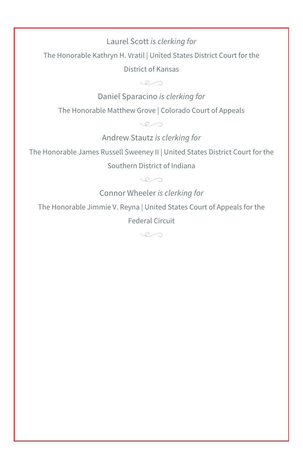Laurel Scott *is clerking for*

The Honorable Kathryn H. Vratil | United States District Court for the

District of Kansas

 $\circ$ 

Daniel Sparacino *is clerking for* The Honorable Matthew Grove | Colorado Court of Appeals

 $\infty$ 

Andrew Stautz *is clerking for*

The Honorable James Russell Sweeney II | United States District Court for the Southern District of Indiana

 $\infty$ 

Connor Wheeler *is clerking for*

The Honorable Jimmie V. Reyna | United States Court of Appeals for the Federal Circuit

 $\infty$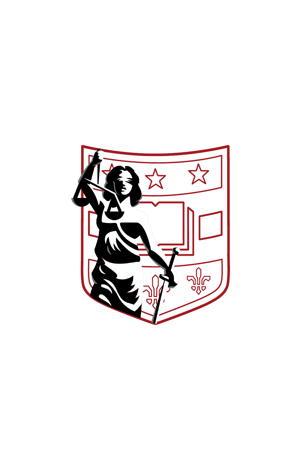